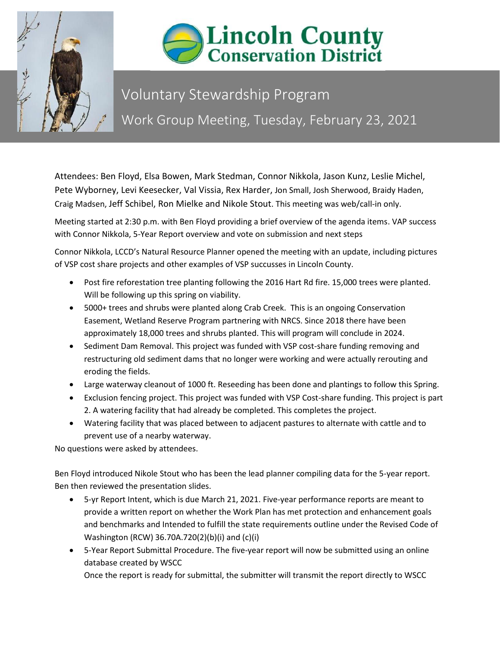



## Voluntary Stewardship Program Work Group Meeting, Tuesday, February 23, 2021

Attendees: Ben Floyd, Elsa Bowen, Mark Stedman, Connor Nikkola, Jason Kunz, Leslie Michel, Pete Wyborney, Levi Keesecker, Val Vissia, Rex Harder, Jon Small, Josh Sherwood, Braidy Haden, Craig Madsen, Jeff Schibel, Ron Mielke and Nikole Stout. This meeting was web/call-in only.

Meeting started at 2:30 p.m. with Ben Floyd providing a brief overview of the agenda items. VAP success with Connor Nikkola, 5-Year Report overview and vote on submission and next steps

Connor Nikkola, LCCD's Natural Resource Planner opened the meeting with an update, including pictures of VSP cost share projects and other examples of VSP succusses in Lincoln County.

- Post fire reforestation tree planting following the 2016 Hart Rd fire. 15,000 trees were planted. Will be following up this spring on viability.
- 5000+ trees and shrubs were planted along Crab Creek. This is an ongoing Conservation Easement, Wetland Reserve Program partnering with NRCS. Since 2018 there have been approximately 18,000 trees and shrubs planted. This will program will conclude in 2024.
- Sediment Dam Removal. This project was funded with VSP cost-share funding removing and restructuring old sediment dams that no longer were working and were actually rerouting and eroding the fields.
- Large waterway cleanout of 1000 ft. Reseeding has been done and plantings to follow this Spring.
- Exclusion fencing project. This project was funded with VSP Cost-share funding. This project is part 2. A watering facility that had already be completed. This completes the project.
- Watering facility that was placed between to adjacent pastures to alternate with cattle and to prevent use of a nearby waterway.

No questions were asked by attendees.

Ben Floyd introduced Nikole Stout who has been the lead planner compiling data for the 5-year report. Ben then reviewed the presentation slides.

- 5-yr Report Intent, which is due March 21, 2021. Five-year performance reports are meant to provide a written report on whether the Work Plan has met protection and enhancement goals and benchmarks and Intended to fulfill the state requirements outline under the Revised Code of Washington (RCW) 36.70A.720(2)(b)(i) and (c)(i)
- 5-Year Report Submittal Procedure. The five-year report will now be submitted using an online database created by WSCC Once the report is ready for submittal, the submitter will transmit the report directly to WSCC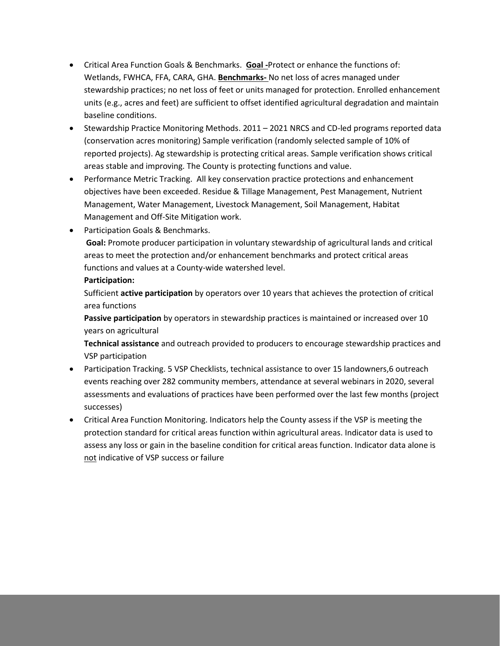- Critical Area Function Goals & Benchmarks. **Goal -**Protect or enhance the functions of: Wetlands, FWHCA, FFA, CARA, GHA. **Benchmarks-** No net loss of acres managed under stewardship practices; no net loss of feet or units managed for protection. Enrolled enhancement units (e.g., acres and feet) are sufficient to offset identified agricultural degradation and maintain baseline conditions.
- Stewardship Practice Monitoring Methods. 2011 2021 NRCS and CD-led programs reported data (conservation acres monitoring) Sample verification (randomly selected sample of 10% of reported projects). Ag stewardship is protecting critical areas. Sample verification shows critical areas stable and improving. The County is protecting functions and value.
- Performance Metric Tracking. All key conservation practice protections and enhancement objectives have been exceeded. Residue & Tillage Management, Pest Management, Nutrient Management, Water Management, Livestock Management, Soil Management, Habitat Management and Off-Site Mitigation work.
- Participation Goals & Benchmarks.

**Goal:** Promote producer participation in voluntary stewardship of agricultural lands and critical areas to meet the protection and/or enhancement benchmarks and protect critical areas functions and values at a County-wide watershed level.

## **Participation:**

Sufficient **active participation** by operators over 10 years that achieves the protection of critical area functions

**Passive participation** by operators in stewardship practices is maintained or increased over 10 years on agricultural

**Technical assistance** and outreach provided to producers to encourage stewardship practices and VSP participation

- Participation Tracking. 5 VSP Checklists, technical assistance to over 15 landowners,6 outreach events reaching over 282 community members, attendance at several webinars in 2020, several assessments and evaluations of practices have been performed over the last few months (project successes)
- Critical Area Function Monitoring. Indicators help the County assess if the VSP is meeting the protection standard for critical areas function within agricultural areas. Indicator data is used to assess any loss or gain in the baseline condition for critical areas function. Indicator data alone is not indicative of VSP success or failure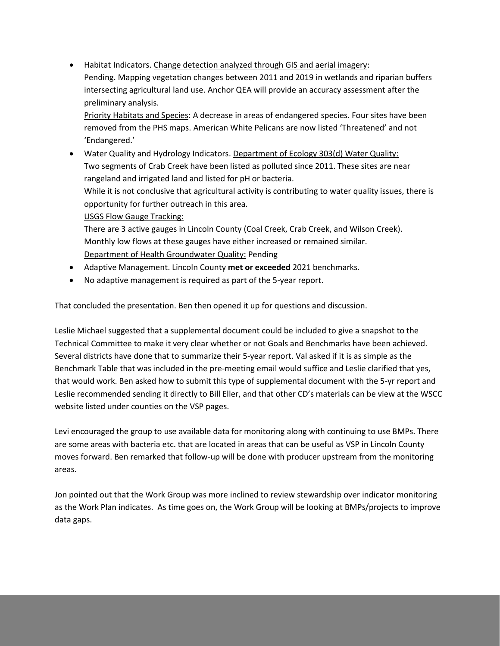• Habitat Indicators. Change detection analyzed through GIS and aerial imagery: Pending. Mapping vegetation changes between 2011 and 2019 in wetlands and riparian buffers intersecting agricultural land use. Anchor QEA will provide an accuracy assessment after the preliminary analysis. Priority Habitats and Species: A decrease in areas of endangered species. Four sites have been removed from the PHS maps. American White Pelicans are now listed 'Threatened' and not 'Endangered.' • Water Quality and Hydrology Indicators. Department of Ecology 303(d) Water Quality: Two segments of Crab Creek have been listed as polluted since 2011. These sites are near rangeland and irrigated land and listed for pH or bacteria.

While it is not conclusive that agricultural activity is contributing to water quality issues, there is opportunity for further outreach in this area.

USGS Flow Gauge Tracking:

There are 3 active gauges in Lincoln County (Coal Creek, Crab Creek, and Wilson Creek). Monthly low flows at these gauges have either increased or remained similar. Department of Health Groundwater Quality: Pending

- Adaptive Management. Lincoln County **met or exceeded** 2021 benchmarks.
- No adaptive management is required as part of the 5-year report.

That concluded the presentation. Ben then opened it up for questions and discussion.

Leslie Michael suggested that a supplemental document could be included to give a snapshot to the Technical Committee to make it very clear whether or not Goals and Benchmarks have been achieved. Several districts have done that to summarize their 5-year report. Val asked if it is as simple as the Benchmark Table that was included in the pre-meeting email would suffice and Leslie clarified that yes, that would work. Ben asked how to submit this type of supplemental document with the 5-yr report and Leslie recommended sending it directly to Bill Eller, and that other CD's materials can be view at the WSCC website listed under counties on the VSP pages.

Levi encouraged the group to use available data for monitoring along with continuing to use BMPs. There are some areas with bacteria etc. that are located in areas that can be useful as VSP in Lincoln County moves forward. Ben remarked that follow-up will be done with producer upstream from the monitoring areas.

Jon pointed out that the Work Group was more inclined to review stewardship over indicator monitoring as the Work Plan indicates. As time goes on, the Work Group will be looking at BMPs/projects to improve data gaps.